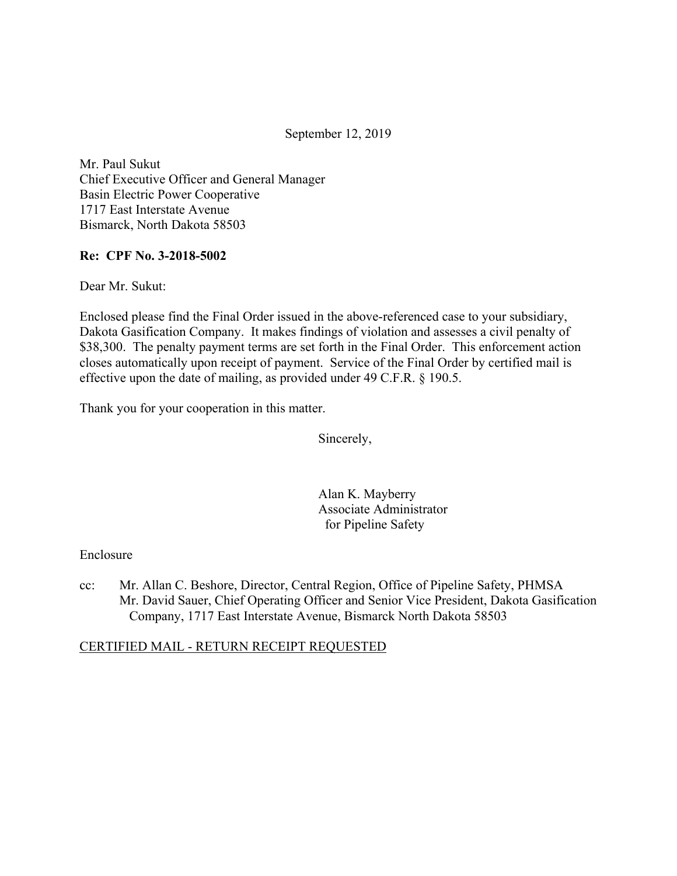September 12, 2019

Mr. Paul Sukut Chief Executive Officer and General Manager Basin Electric Power Cooperative 1717 East Interstate Avenue Bismarck, North Dakota 58503

### **Re: CPF No. 3-2018-5002**

Dear Mr. Sukut:

Enclosed please find the Final Order issued in the above-referenced case to your subsidiary, Dakota Gasification Company. It makes findings of violation and assesses a civil penalty of \$38,300. The penalty payment terms are set forth in the Final Order. This enforcement action closes automatically upon receipt of payment. Service of the Final Order by certified mail is effective upon the date of mailing, as provided under 49 C.F.R. § 190.5.

Thank you for your cooperation in this matter.

Sincerely,

Alan K. Mayberry Associate Administrator for Pipeline Safety

#### Enclosure

cc: Mr. Allan C. Beshore, Director, Central Region, Office of Pipeline Safety, PHMSA Mr. David Sauer, Chief Operating Officer and Senior Vice President, Dakota Gasification Company, 1717 East Interstate Avenue, Bismarck North Dakota 58503

## CERTIFIED MAIL - RETURN RECEIPT REQUESTED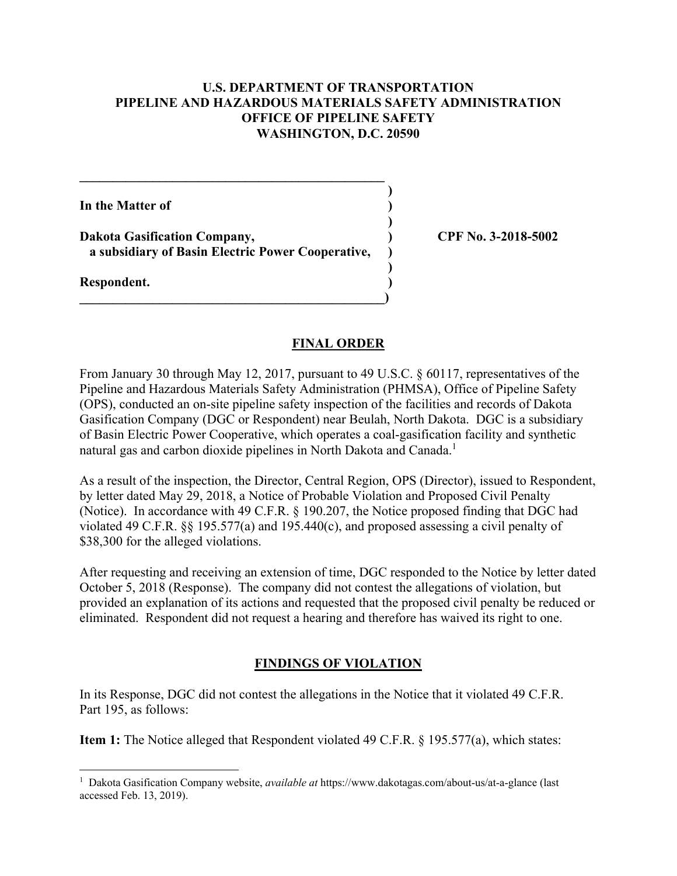### **U.S. DEPARTMENT OF TRANSPORTATION PIPELINE AND HAZARDOUS MATERIALS SAFETY ADMINISTRATION OFFICE OF PIPELINE SAFETY WASHINGTON, D.C. 20590**

**)**

 **)**

**)**

**In the Matter of )**

Dakota Gasification Company,  $\qquad \qquad$  (PF No. 3-2018-5002) **a subsidiary of Basin Electric Power Cooperative, )** 

 $\overline{\phantom{a}}$ 

**\_\_\_\_\_\_\_\_\_\_\_\_\_\_\_\_\_\_\_\_\_\_\_\_\_\_\_\_\_\_\_\_\_\_\_\_\_\_\_\_\_\_\_\_\_\_** 

**Respondent. )** 

<u>.</u>

### **FINAL ORDER**

From January 30 through May 12, 2017, pursuant to 49 U.S.C. § 60117, representatives of the Pipeline and Hazardous Materials Safety Administration (PHMSA), Office of Pipeline Safety (OPS), conducted an on-site pipeline safety inspection of the facilities and records of Dakota Gasification Company (DGC or Respondent) near Beulah, North Dakota. DGC is a subsidiary of Basin Electric Power Cooperative, which operates a coal-gasification facility and synthetic natural gas and carbon dioxide pipelines in North Dakota and Canada.<sup>1</sup>

As a result of the inspection, the Director, Central Region, OPS (Director), issued to Respondent, by letter dated May 29, 2018, a Notice of Probable Violation and Proposed Civil Penalty (Notice). In accordance with 49 C.F.R. § 190.207, the Notice proposed finding that DGC had violated 49 C.F.R. §§ 195.577(a) and 195.440(c), and proposed assessing a civil penalty of \$38,300 for the alleged violations.

After requesting and receiving an extension of time, DGC responded to the Notice by letter dated October 5, 2018 (Response). The company did not contest the allegations of violation, but provided an explanation of its actions and requested that the proposed civil penalty be reduced or eliminated. Respondent did not request a hearing and therefore has waived its right to one.

# **FINDINGS OF VIOLATION**

In its Response, DGC did not contest the allegations in the Notice that it violated 49 C.F.R. Part 195, as follows:

**Item 1:** The Notice alleged that Respondent violated 49 C.F.R. § 195.577(a), which states:

<sup>1</sup> Dakota Gasification Company website, *available at* <https://www.dakotagas.com/about-us/at-a-glance>(last accessed Feb. 13, 2019).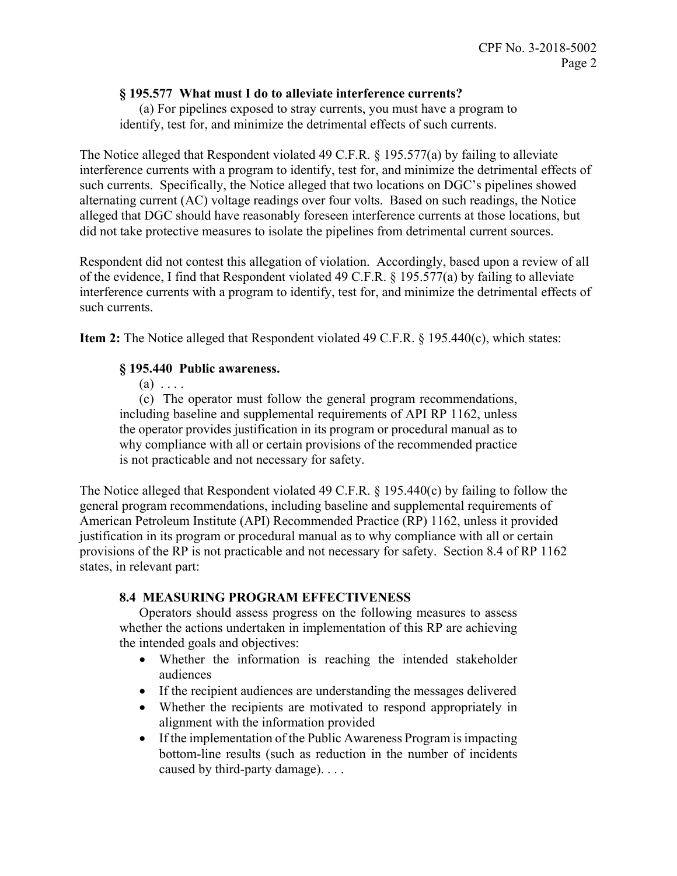### **§ 195.577 What must I do to alleviate interference currents?**

(a) For pipelines exposed to stray currents, you must have a program to identify, test for, and minimize the detrimental effects of such currents.

The Notice alleged that Respondent violated 49 C.F.R. § 195.577(a) by failing to alleviate interference currents with a program to identify, test for, and minimize the detrimental effects of such currents. Specifically, the Notice alleged that two locations on DGC's pipelines showed alternating current (AC) voltage readings over four volts. Based on such readings, the Notice alleged that DGC should have reasonably foreseen interference currents at those locations, but did not take protective measures to isolate the pipelines from detrimental current sources.

Respondent did not contest this allegation of violation. Accordingly, based upon a review of all of the evidence, I find that Respondent violated 49 C.F.R. § 195.577(a) by failing to alleviate interference currents with a program to identify, test for, and minimize the detrimental effects of such currents.

**Item 2:** The Notice alleged that Respondent violated 49 C.F.R. § 195.440(c), which states:

### **§ 195.440 Public awareness.**

 $(a) \ldots$ 

 (c) The operator must follow the general program recommendations, including baseline and supplemental requirements of API RP 1162, unless the operator provides justification in its program or procedural manual as to why compliance with all or certain provisions of the recommended practice is not practicable and not necessary for safety.

The Notice alleged that Respondent violated 49 C.F.R. § 195.440(c) by failing to follow the general program recommendations, including baseline and supplemental requirements of American Petroleum Institute (API) Recommended Practice (RP) 1162, unless it provided justification in its program or procedural manual as to why compliance with all or certain provisions of the RP is not practicable and not necessary for safety. Section 8.4 of RP 1162 states, in relevant part:

## **8.4 MEASURING PROGRAM EFFECTIVENESS**

 whether the actions undertaken in implementation of this RP are achieving Operators should assess progress on the following measures to assess the intended goals and objectives:

- Whether the information is reaching the intended stakeholder audiences
- If the recipient audiences are understanding the messages delivered
- Whether the recipients are motivated to respond appropriately in alignment with the information provided
- If the implementation of the Public Awareness Program is impacting bottom-line results (such as reduction in the number of incidents caused by third-party damage). . . .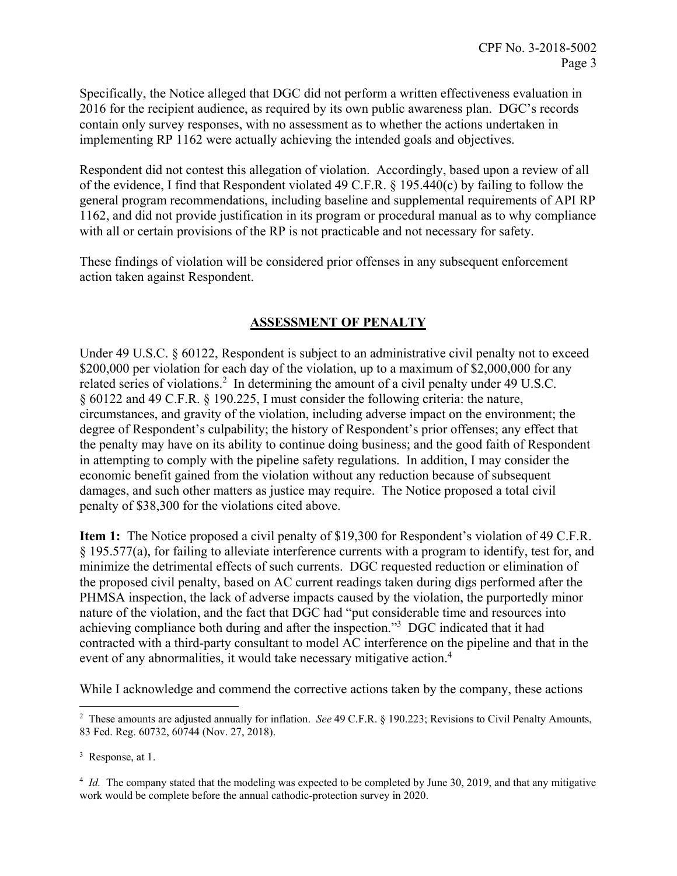Specifically, the Notice alleged that DGC did not perform a written effectiveness evaluation in 2016 for the recipient audience, as required by its own public awareness plan. DGC's records contain only survey responses, with no assessment as to whether the actions undertaken in implementing RP 1162 were actually achieving the intended goals and objectives.

Respondent did not contest this allegation of violation. Accordingly, based upon a review of all of the evidence, I find that Respondent violated 49 C.F.R. § 195.440(c) by failing to follow the general program recommendations, including baseline and supplemental requirements of API RP 1162, and did not provide justification in its program or procedural manual as to why compliance with all or certain provisions of the RP is not practicable and not necessary for safety.

These findings of violation will be considered prior offenses in any subsequent enforcement action taken against Respondent.

## **ASSESSMENT OF PENALTY**

Under 49 U.S.C. § 60122, Respondent is subject to an administrative civil penalty not to exceed \$200,000 per violation for each day of the violation, up to a maximum of \$2,000,000 for any related series of violations.<sup>2</sup> In determining the amount of a civil penalty under 49 U.S.C. § 60122 and 49 C.F.R. § 190.225, I must consider the following criteria: the nature, circumstances, and gravity of the violation, including adverse impact on the environment; the degree of Respondent's culpability; the history of Respondent's prior offenses; any effect that the penalty may have on its ability to continue doing business; and the good faith of Respondent in attempting to comply with the pipeline safety regulations. In addition, I may consider the economic benefit gained from the violation without any reduction because of subsequent damages, and such other matters as justice may require. The Notice proposed a total civil penalty of \$38,300 for the violations cited above.

**Item 1:** The Notice proposed a civil penalty of \$19,300 for Respondent's violation of 49 C.F.R. § 195.577(a), for failing to alleviate interference currents with a program to identify, test for, and minimize the detrimental effects of such currents. DGC requested reduction or elimination of the proposed civil penalty, based on AC current readings taken during digs performed after the PHMSA inspection, the lack of adverse impacts caused by the violation, the purportedly minor nature of the violation, and the fact that DGC had "put considerable time and resources into achieving compliance both during and after the inspection."3 DGC indicated that it had contracted with a third-party consultant to model AC interference on the pipeline and that in the event of any abnormalities, it would take necessary mitigative action.<sup>4</sup>

While I acknowledge and commend the corrective actions taken by the company, these actions

 $\overline{a}$ 

<sup>2</sup> These amounts are adjusted annually for inflation. *See* 49 C.F.R. § 190.223; Revisions to Civil Penalty Amounts, 83 Fed. Reg. 60732, 60744 (Nov. 27, 2018).

<sup>&</sup>lt;sup>3</sup> Response, at 1.

<sup>&</sup>lt;sup>4</sup> *Id.* The company stated that the modeling was expected to be completed by June 30, 2019, and that any mitigative work would be complete before the annual cathodic-protection survey in 2020.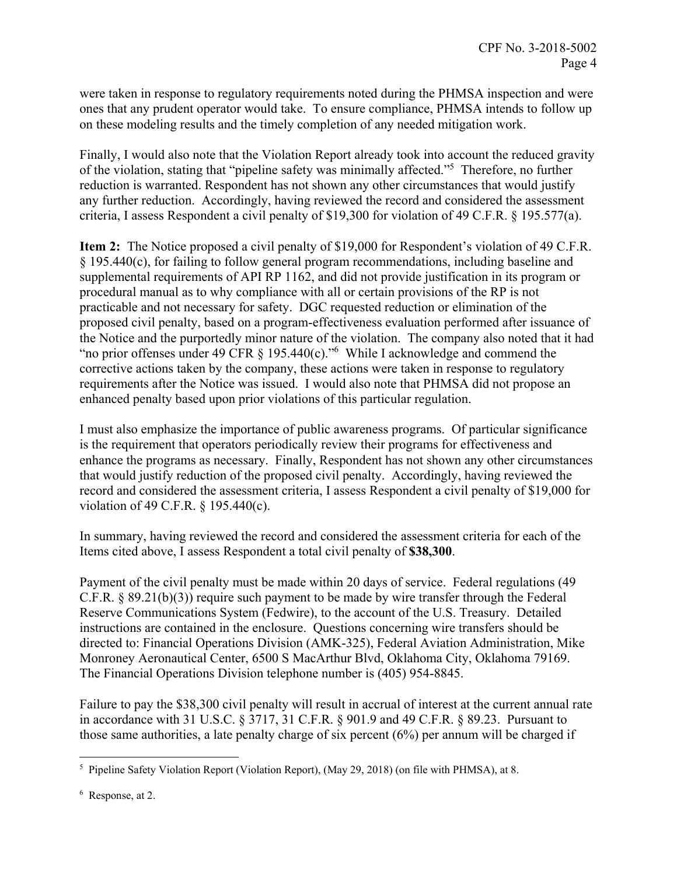were taken in response to regulatory requirements noted during the PHMSA inspection and were ones that any prudent operator would take. To ensure compliance, PHMSA intends to follow up on these modeling results and the timely completion of any needed mitigation work.

Finally, I would also note that the Violation Report already took into account the reduced gravity of the violation, stating that "pipeline safety was minimally affected."5 Therefore, no further reduction is warranted. Respondent has not shown any other circumstances that would justify any further reduction. Accordingly, having reviewed the record and considered the assessment criteria, I assess Respondent a civil penalty of \$19,300 for violation of 49 C.F.R. § 195.577(a).

**Item 2:** The Notice proposed a civil penalty of \$19,000 for Respondent's violation of 49 C.F.R. § 195.440(c), for failing to follow general program recommendations, including baseline and supplemental requirements of API RP 1162, and did not provide justification in its program or procedural manual as to why compliance with all or certain provisions of the RP is not practicable and not necessary for safety. DGC requested reduction or elimination of the proposed civil penalty, based on a program-effectiveness evaluation performed after issuance of the Notice and the purportedly minor nature of the violation. The company also noted that it had "no prior offenses under 49 CFR  $\S$  195.440(c)."<sup>6</sup> While I acknowledge and commend the corrective actions taken by the company, these actions were taken in response to regulatory requirements after the Notice was issued. I would also note that PHMSA did not propose an enhanced penalty based upon prior violations of this particular regulation.

I must also emphasize the importance of public awareness programs. Of particular significance is the requirement that operators periodically review their programs for effectiveness and enhance the programs as necessary. Finally, Respondent has not shown any other circumstances that would justify reduction of the proposed civil penalty. Accordingly, having reviewed the record and considered the assessment criteria, I assess Respondent a civil penalty of \$19,000 for violation of 49 C.F.R. § 195.440(c).

In summary, having reviewed the record and considered the assessment criteria for each of the Items cited above, I assess Respondent a total civil penalty of **\$38,300**.

Payment of the civil penalty must be made within 20 days of service. Federal regulations (49 C.F.R. § 89.21(b)(3)) require such payment to be made by wire transfer through the Federal Reserve Communications System (Fedwire), to the account of the U.S. Treasury. Detailed instructions are contained in the enclosure. Questions concerning wire transfers should be directed to: Financial Operations Division (AMK-325), Federal Aviation Administration, Mike Monroney Aeronautical Center, 6500 S MacArthur Blvd, Oklahoma City, Oklahoma 79169. The Financial Operations Division telephone number is (405) 954-8845.

Failure to pay the \$38,300 civil penalty will result in accrual of interest at the current annual rate in accordance with 31 U.S.C. § 3717, 31 C.F.R. § 901.9 and 49 C.F.R. § 89.23. Pursuant to those same authorities, a late penalty charge of six percent (6%) per annum will be charged if

 5 Pipeline Safety Violation Report (Violation Report), (May 29, 2018) (on file with PHMSA), at 8.

<sup>&</sup>lt;sup>6</sup> Response, at 2.